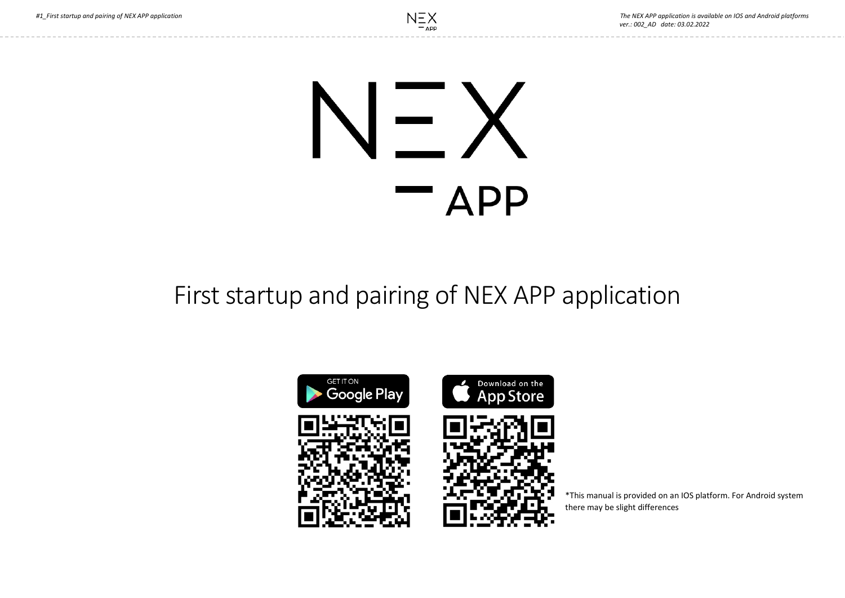# $\blacksquare$ **APP**

## First startup and pairing of NEX APP application



\*This manual is provided on an IOS platform. For Android system there may be slight differences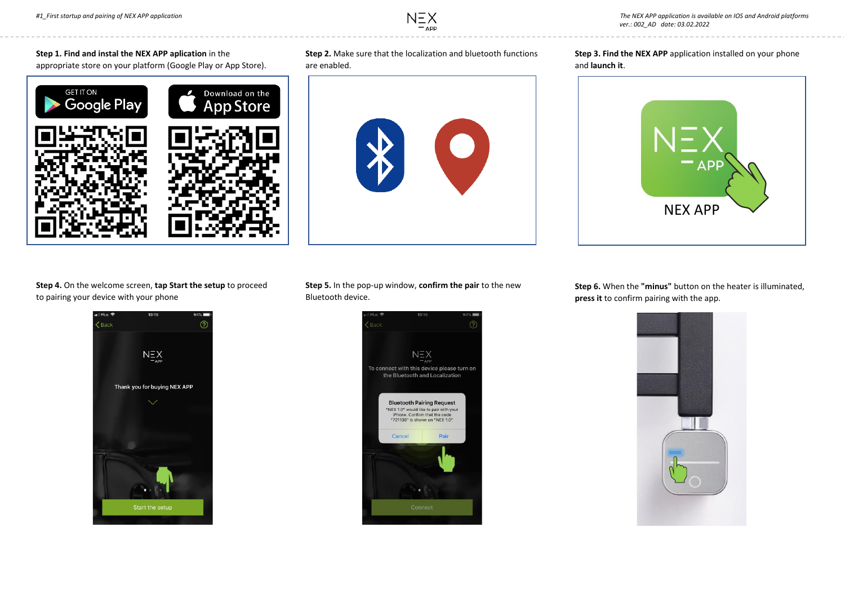### **Step 1. Find and instal the NEX APP aplication** in the appropriate store on your platform (Google Play or App Store).



#### **Step 2.** Make sure that the localization and bluetooth functions are enabled.



**Step 3. Find the NEX APP** application installed on your phone and **launch it**.



**Step 4.** On the welcome screen, **tap Start the setup** to proceed to pairing your device with your phone



**Step 5.** In the pop-up window, **confirm the pair** to the new Bluetooth device.



**Step 6.** When the **"minus"** button on the heater is illuminated, **press it** to confirm pairing with the app.

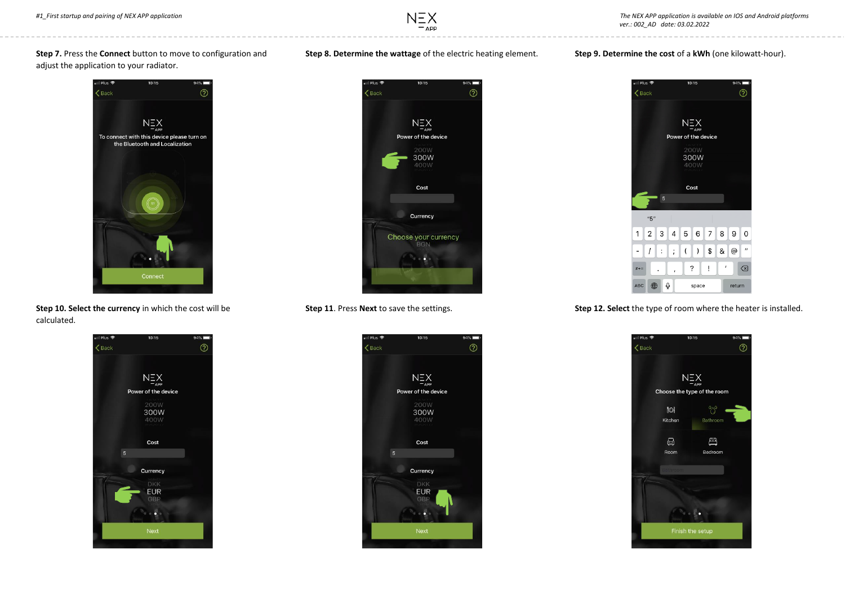#### **Step 7.** Press the **Connect** button to move to configuration and adjust the application to your radiator.



**Step 10. Select the currency** in which the cost will be calculated.



**Step 8. Determine the wattage** of the electric heating element.

 $-$  APP



**Step 11**. Press **Next** to save the settings.



#### **Step 9. Determine the cost** of a **kWh** (one kilowatt-hour).



**Step 12. Select** the type of room where the heater is installed.